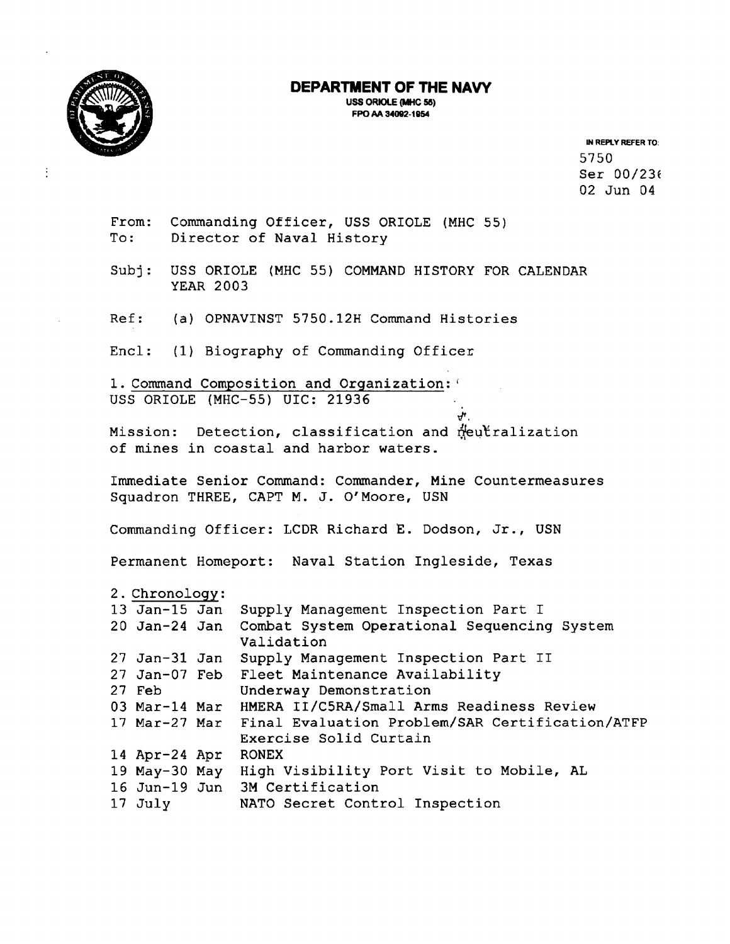

**uss ORIOLE (WHC 56) FPO AA 34092-1954** 



 $\vdots$ 

IN **REPLY REFER TO:**  5750 Ser 00/236 02 Jun 04

From: Commanding Officer, USS ORIOLE (MHC 55) To : Director of **Naval** History

Subj: USS ORIOLE (MHC 55) COMMAND HISTORY FOR CALENDAR **YEAR 2003** 

Ref: (a) OPNAVINST **5750.12H** Command Histories

Encl: (1) Biography of Commanding Officer

1. Command Composition and Organization:' USS ORIOLE (MHC-55) UIC: 21936

Mission: Detection, classification and meutralization of mines in coastal and harbor waters.

Immediate Senior Command: Commander, Mine Countermeasures Squadron THREE, CAPT M. J. **0'** Moore, USN

*8,* 

Commanding Officer: LCDR Richard **E.** Dodson, Jr., **USN** 

Permanent Homeport: Naval Station Ingleside, Texas

|  | 2. Chronology: |  |
|--|----------------|--|
|  |                |  |

| $13$ Jan- $15$ Jan | Supply Management Inspection Part I                              |
|--------------------|------------------------------------------------------------------|
| 20 Jan-24 Jan      | Combat System Operational Sequencing System                      |
|                    | Validation                                                       |
| 27 Jan-31 Jan      | Supply Management Inspection Part II                             |
|                    | 27 Jan-07 Feb Fleet Maintenance Availability                     |
| 27 Feb             | Underway Demonstration                                           |
| 03 Mar-14 Mar      | HMERA II/C5RA/Small Arms Readiness Review                        |
|                    | 17 Mar-27 Mar    Final Evaluation Problem/SAR Certification/ATFP |
|                    | Exercise Solid Curtain                                           |
| 14 Apr-24 Apr      | <b>RONEX</b>                                                     |
| 19 $May-30$ $May$  | High Visibility Port Visit to Mobile, AL                         |
|                    | 16 Jun-19 Jun 3M Certification                                   |
| $17$ July          | NATO Secret Control Inspection                                   |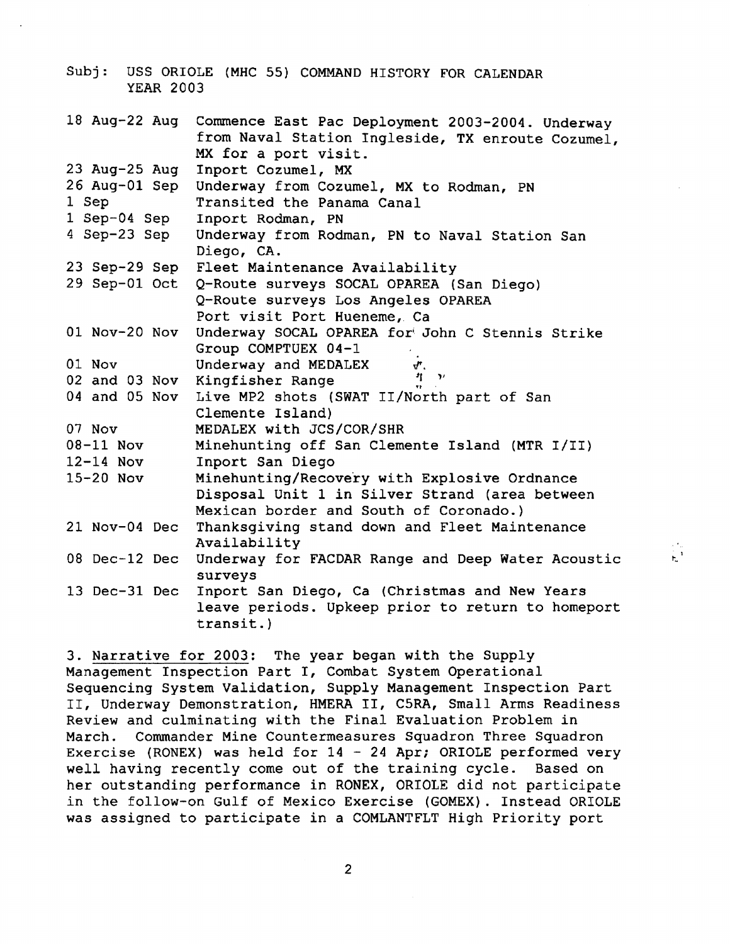| <b>YEAR 2003</b> |               | Subj: USS ORIOLE (MHC 55) COMMAND HISTORY FOR CALENDAR                                                                        |
|------------------|---------------|-------------------------------------------------------------------------------------------------------------------------------|
| 18 Aug-22 Aug    |               | Commence East Pac Deployment 2003-2004. Underway<br>from Naval Station Ingleside, TX enroute Cozumel,<br>MX for a port visit. |
| $23$ Aug-25 Aug  |               | Inport Cozumel, MX                                                                                                            |
|                  | 26 Aug-01 Sep | Underway from Cozumel, MX to Rodman, PN                                                                                       |
| 1 Sep            |               | Transited the Panama Canal                                                                                                    |
| 1 Sep-04 Sep     |               | Inport Rodman, PN                                                                                                             |
| 4 Sep-23 Sep     |               | Underway from Rodman, PN to Naval Station San<br>Diego, CA.                                                                   |
|                  |               | 23 Sep-29 Sep Fleet Maintenance Availability                                                                                  |
|                  | 29 Sep-01 Oct | Q-Route surveys SOCAL OPAREA (San Diego)                                                                                      |
|                  |               | Q-Route surveys Los Angeles OPAREA                                                                                            |
|                  |               | Port visit Port Hueneme, Ca                                                                                                   |
| 01 Nov-20 Nov    |               | Underway SOCAL OPAREA for John C Stennis Strike                                                                               |
|                  |               | Group COMPTUEX 04-1                                                                                                           |
| 01 Nov           |               | Underway and MEDALEX<br>√″.                                                                                                   |
|                  |               | 井 ア<br>02 and 03 Nov Kingfisher Range                                                                                         |
|                  |               | 04 and 05 Nov Live MP2 shots (SWAT II/North part of San                                                                       |
|                  |               | Clemente Island)                                                                                                              |
| 07 Nov           |               | MEDALEX with JCS/COR/SHR                                                                                                      |
| $08-11$ Nov      |               | Minehunting off San Clemente Island (MTR I/II)                                                                                |
| $12-14$ Nov      |               | Inport San Diego                                                                                                              |
| $15-20$ Nov      |               | Minehunting/Recovery with Explosive Ordnance                                                                                  |
|                  |               | Disposal Unit 1 in Silver Strand (area between                                                                                |
|                  |               | Mexican border and South of Coronado.)                                                                                        |
| 21 Nov-04 Dec    |               | Thanksgiving stand down and Fleet Maintenance                                                                                 |
|                  |               | Availability                                                                                                                  |
| 08 Dec-12 Dec    |               | Underway for FACDAR Range and Deep Water Acoustic<br>surveys                                                                  |
| 13 Dec-31 Dec    |               | Inport San Diego, Ca (Christmas and New Years                                                                                 |
|                  |               | leave periods. Upkeep prior to return to homeport                                                                             |
|                  |               | $transit.$ )                                                                                                                  |

3. Narrative for 2003: The year began with the Supply Management Inspection Part I, Combat System Operational Sequencing System Validation, Supply Management Inspection Part 11, Underway Demonstration, HMERA 11, C5RA, Small Arms Readiness Review and culminating with the Final Evaluation Problem in March. Commander Mine Countermeasures Squadron Three Squadron Exercise (RONEX) was held for 14 - <sup>24</sup>**Apr;** ORIOLE performed very well having recently come out of the training cycle. Based on her outstanding performance in RONEX, ORIOLE did not participate in the follow-on Gulf of Mexico Exercise (GOMEX). Instead ORIOLE was assigned to participate in a COMLANTFLT High Priority port

 $\frac{1}{k}$ 

 $\overline{2}$